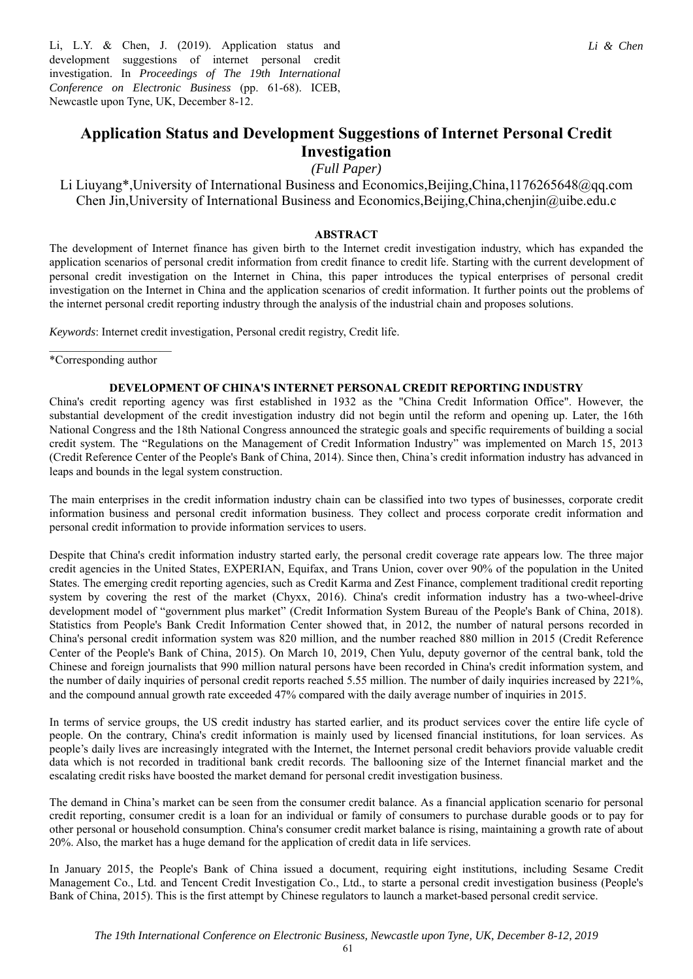Li, L.Y. & Chen, J. (2019). Application status and development suggestions of internet personal credit investigation. In *Proceedings of The 19th International Conference on Electronic Business* (pp. 61-68). ICEB, Newcastle upon Tyne, UK, December 8-12.

## **Application Status and Development Suggestions of Internet Personal Credit Investigation**

*(Full Paper)* 

Li Liuyang\*,University of International Business and Economics,Beijing,China,1176265648@qq.com Chen Jin,University of International Business and Economics,Beijing,China,chenjin@uibe.edu.c

## **ABSTRACT**

The development of Internet finance has given birth to the Internet credit investigation industry, which has expanded the application scenarios of personal credit information from credit finance to credit life. Starting with the current development of personal credit investigation on the Internet in China, this paper introduces the typical enterprises of personal credit investigation on the Internet in China and the application scenarios of credit information. It further points out the problems of the internet personal credit reporting industry through the analysis of the industrial chain and proposes solutions.

*Keywords*: Internet credit investigation, Personal credit registry, Credit life.

 $\overline{\phantom{a}}$  , where  $\overline{\phantom{a}}$ \*Corresponding author

### **DEVELOPMENT OF CHINA'S INTERNET PERSONAL CREDIT REPORTING INDUSTRY**

China's credit reporting agency was first established in 1932 as the "China Credit Information Office". However, the substantial development of the credit investigation industry did not begin until the reform and opening up. Later, the 16th National Congress and the 18th National Congress announced the strategic goals and specific requirements of building a social credit system. The "Regulations on the Management of Credit Information Industry" was implemented on March 15, 2013 (Credit Reference Center of the People's Bank of China, 2014). Since then, China's credit information industry has advanced in leaps and bounds in the legal system construction.

The main enterprises in the credit information industry chain can be classified into two types of businesses, corporate credit information business and personal credit information business. They collect and process corporate credit information and personal credit information to provide information services to users.

Despite that China's credit information industry started early, the personal credit coverage rate appears low. The three major credit agencies in the United States, EXPERIAN, Equifax, and Trans Union, cover over 90% of the population in the United States. The emerging credit reporting agencies, such as Credit Karma and Zest Finance, complement traditional credit reporting system by covering the rest of the market (Chyxx, 2016). China's credit information industry has a two-wheel-drive development model of "government plus market" (Credit Information System Bureau of the People's Bank of China, 2018). Statistics from People's Bank Credit Information Center showed that, in 2012, the number of natural persons recorded in China's personal credit information system was 820 million, and the number reached 880 million in 2015 (Credit Reference Center of the People's Bank of China, 2015). On March 10, 2019, Chen Yulu, deputy governor of the central bank, told the Chinese and foreign journalists that 990 million natural persons have been recorded in China's credit information system, and the number of daily inquiries of personal credit reports reached 5.55 million. The number of daily inquiries increased by 221%, and the compound annual growth rate exceeded 47% compared with the daily average number of inquiries in 2015.

In terms of service groups, the US credit industry has started earlier, and its product services cover the entire life cycle of people. On the contrary, China's credit information is mainly used by licensed financial institutions, for loan services. As people's daily lives are increasingly integrated with the Internet, the Internet personal credit behaviors provide valuable credit data which is not recorded in traditional bank credit records. The ballooning size of the Internet financial market and the escalating credit risks have boosted the market demand for personal credit investigation business.

The demand in China's market can be seen from the consumer credit balance. As a financial application scenario for personal credit reporting, consumer credit is a loan for an individual or family of consumers to purchase durable goods or to pay for other personal or household consumption. China's consumer credit market balance is rising, maintaining a growth rate of about 20%. Also, the market has a huge demand for the application of credit data in life services.

In January 2015, the People's Bank of China issued a document, requiring eight institutions, including Sesame Credit Management Co., Ltd. and Tencent Credit Investigation Co., Ltd., to starte a personal credit investigation business (People's Bank of China, 2015). This is the first attempt by Chinese regulators to launch a market-based personal credit service.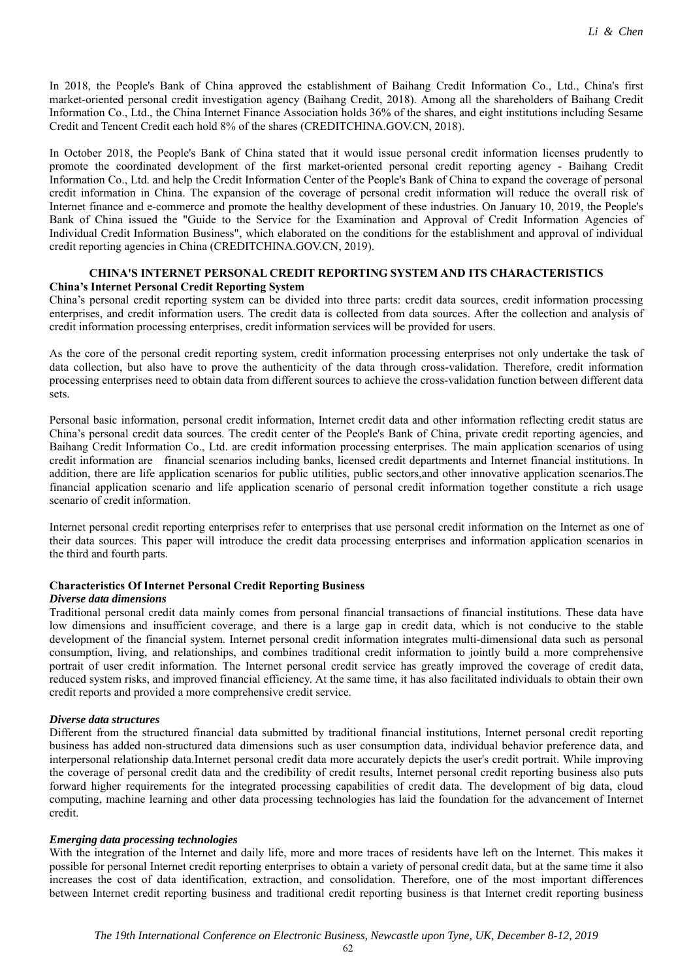In 2018, the People's Bank of China approved the establishment of Baihang Credit Information Co., Ltd., China's first market-oriented personal credit investigation agency (Baihang Credit, 2018). Among all the shareholders of Baihang Credit Information Co., Ltd., the China Internet Finance Association holds 36% of the shares, and eight institutions including Sesame Credit and Tencent Credit each hold 8% of the shares (CREDITCHINA.GOV.CN, 2018).

In October 2018, the People's Bank of China stated that it would issue personal credit information licenses prudently to promote the coordinated development of the first market-oriented personal credit reporting agency - Baihang Credit Information Co., Ltd. and help the Credit Information Center of the People's Bank of China to expand the coverage of personal credit information in China. The expansion of the coverage of personal credit information will reduce the overall risk of Internet finance and e-commerce and promote the healthy development of these industries. On January 10, 2019, the People's Bank of China issued the "Guide to the Service for the Examination and Approval of Credit Information Agencies of Individual Credit Information Business", which elaborated on the conditions for the establishment and approval of individual credit reporting agencies in China (CREDITCHINA.GOV.CN, 2019).

## **CHINA'S INTERNET PERSONAL CREDIT REPORTING SYSTEM AND ITS CHARACTERISTICS China's Internet Personal Credit Reporting System**

China's personal credit reporting system can be divided into three parts: credit data sources, credit information processing enterprises, and credit information users. The credit data is collected from data sources. After the collection and analysis of credit information processing enterprises, credit information services will be provided for users.

As the core of the personal credit reporting system, credit information processing enterprises not only undertake the task of data collection, but also have to prove the authenticity of the data through cross-validation. Therefore, credit information processing enterprises need to obtain data from different sources to achieve the cross-validation function between different data sets.

Personal basic information, personal credit information, Internet credit data and other information reflecting credit status are China's personal credit data sources. The credit center of the People's Bank of China, private credit reporting agencies, and Baihang Credit Information Co., Ltd. are credit information processing enterprises. The main application scenarios of using credit information are financial scenarios including banks, licensed credit departments and Internet financial institutions. In addition, there are life application scenarios for public utilities, public sectors,and other innovative application scenarios.The financial application scenario and life application scenario of personal credit information together constitute a rich usage scenario of credit information.

Internet personal credit reporting enterprises refer to enterprises that use personal credit information on the Internet as one of their data sources. This paper will introduce the credit data processing enterprises and information application scenarios in the third and fourth parts.

### **Characteristics Of Internet Personal Credit Reporting Business**

#### *Diverse data dimensions*

Traditional personal credit data mainly comes from personal financial transactions of financial institutions. These data have low dimensions and insufficient coverage, and there is a large gap in credit data, which is not conducive to the stable development of the financial system. Internet personal credit information integrates multi-dimensional data such as personal consumption, living, and relationships, and combines traditional credit information to jointly build a more comprehensive portrait of user credit information. The Internet personal credit service has greatly improved the coverage of credit data, reduced system risks, and improved financial efficiency. At the same time, it has also facilitated individuals to obtain their own credit reports and provided a more comprehensive credit service.

### *Diverse data structures*

Different from the structured financial data submitted by traditional financial institutions, Internet personal credit reporting business has added non-structured data dimensions such as user consumption data, individual behavior preference data, and interpersonal relationship data.Internet personal credit data more accurately depicts the user's credit portrait. While improving the coverage of personal credit data and the credibility of credit results, Internet personal credit reporting business also puts forward higher requirements for the integrated processing capabilities of credit data. The development of big data, cloud computing, machine learning and other data processing technologies has laid the foundation for the advancement of Internet credit.

#### *Emerging data processing technologies*

With the integration of the Internet and daily life, more and more traces of residents have left on the Internet. This makes it possible for personal Internet credit reporting enterprises to obtain a variety of personal credit data, but at the same time it also increases the cost of data identification, extraction, and consolidation. Therefore, one of the most important differences between Internet credit reporting business and traditional credit reporting business is that Internet credit reporting business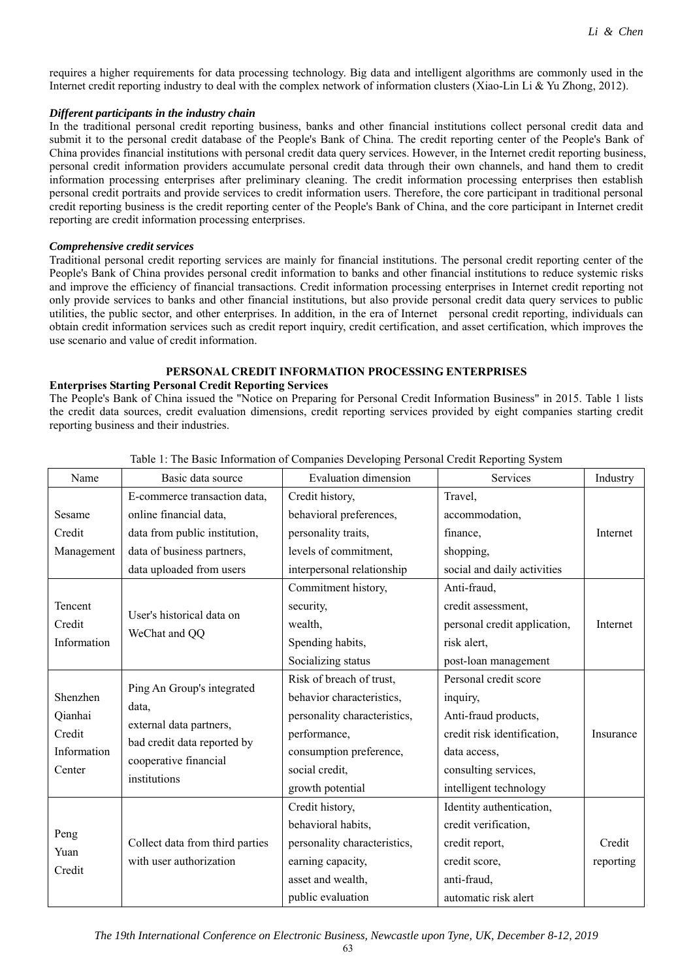requires a higher requirements for data processing technology. Big data and intelligent algorithms are commonly used in the Internet credit reporting industry to deal with the complex network of information clusters (Xiao-Lin Li & Yu Zhong, 2012).

## *Different participants in the industry chain*

In the traditional personal credit reporting business, banks and other financial institutions collect personal credit data and submit it to the personal credit database of the People's Bank of China. The credit reporting center of the People's Bank of China provides financial institutions with personal credit data query services. However, in the Internet credit reporting business, personal credit information providers accumulate personal credit data through their own channels, and hand them to credit information processing enterprises after preliminary cleaning. The credit information processing enterprises then establish personal credit portraits and provide services to credit information users. Therefore, the core participant in traditional personal credit reporting business is the credit reporting center of the People's Bank of China, and the core participant in Internet credit reporting are credit information processing enterprises.

## *Comprehensive credit services*

Traditional personal credit reporting services are mainly for financial institutions. The personal credit reporting center of the People's Bank of China provides personal credit information to banks and other financial institutions to reduce systemic risks and improve the efficiency of financial transactions. Credit information processing enterprises in Internet credit reporting not only provide services to banks and other financial institutions, but also provide personal credit data query services to public utilities, the public sector, and other enterprises. In addition, in the era of Internet personal credit reporting, individuals can obtain credit information services such as credit report inquiry, credit certification, and asset certification, which improves the use scenario and value of credit information.

# **PERSONAL CREDIT INFORMATION PROCESSING ENTERPRISES**

### **Enterprises Starting Personal Credit Reporting Services**

The People's Bank of China issued the "Notice on Preparing for Personal Credit Information Business" in 2015. Table 1 lists the credit data sources, credit evaluation dimensions, credit reporting services provided by eight companies starting credit reporting business and their industries.

| Name                   | Basic data source                                                                                                                      | <b>Evaluation dimension</b>  | Services                     | Industry  |
|------------------------|----------------------------------------------------------------------------------------------------------------------------------------|------------------------------|------------------------------|-----------|
| Sesame                 | E-commerce transaction data,                                                                                                           | Credit history,              | Travel,                      |           |
|                        | online financial data,                                                                                                                 | behavioral preferences,      | accommodation,               |           |
| Credit                 | data from public institution,                                                                                                          | personality traits,          | finance,                     | Internet  |
| Management             | data of business partners,                                                                                                             | levels of commitment,        | shopping,                    |           |
|                        | data uploaded from users                                                                                                               | interpersonal relationship   | social and daily activities  |           |
| Tencent                | User's historical data on<br>WeChat and QQ                                                                                             | Commitment history,          | Anti-fraud,                  |           |
|                        |                                                                                                                                        | security,                    | credit assessment,           |           |
| Credit                 |                                                                                                                                        | wealth,                      | personal credit application, | Internet  |
| Information            |                                                                                                                                        | Spending habits,             | risk alert,                  |           |
|                        |                                                                                                                                        | Socializing status           | post-loan management         |           |
| Shenzhen               | Ping An Group's integrated<br>data,<br>external data partners,<br>bad credit data reported by<br>cooperative financial<br>institutions | Risk of breach of trust,     | Personal credit score        |           |
|                        |                                                                                                                                        | behavior characteristics,    | inquiry,                     |           |
| Qianhai                |                                                                                                                                        | personality characteristics, | Anti-fraud products,         |           |
| Credit                 |                                                                                                                                        | performance,                 | credit risk identification,  | Insurance |
| Information            |                                                                                                                                        | consumption preference,      | data access,                 |           |
| Center                 |                                                                                                                                        | social credit,               | consulting services,         |           |
|                        |                                                                                                                                        | growth potential             | intelligent technology       |           |
| Peng<br>Yuan<br>Credit | Collect data from third parties<br>with user authorization                                                                             | Credit history,              | Identity authentication,     |           |
|                        |                                                                                                                                        | behavioral habits,           | credit verification,         |           |
|                        |                                                                                                                                        | personality characteristics, | credit report,               | Credit    |
|                        |                                                                                                                                        | earning capacity,            | credit score,                | reporting |
|                        |                                                                                                                                        | asset and wealth,            | anti-fraud,                  |           |
|                        |                                                                                                                                        | public evaluation            | automatic risk alert         |           |

Table 1: The Basic Information of Companies Developing Personal Credit Reporting System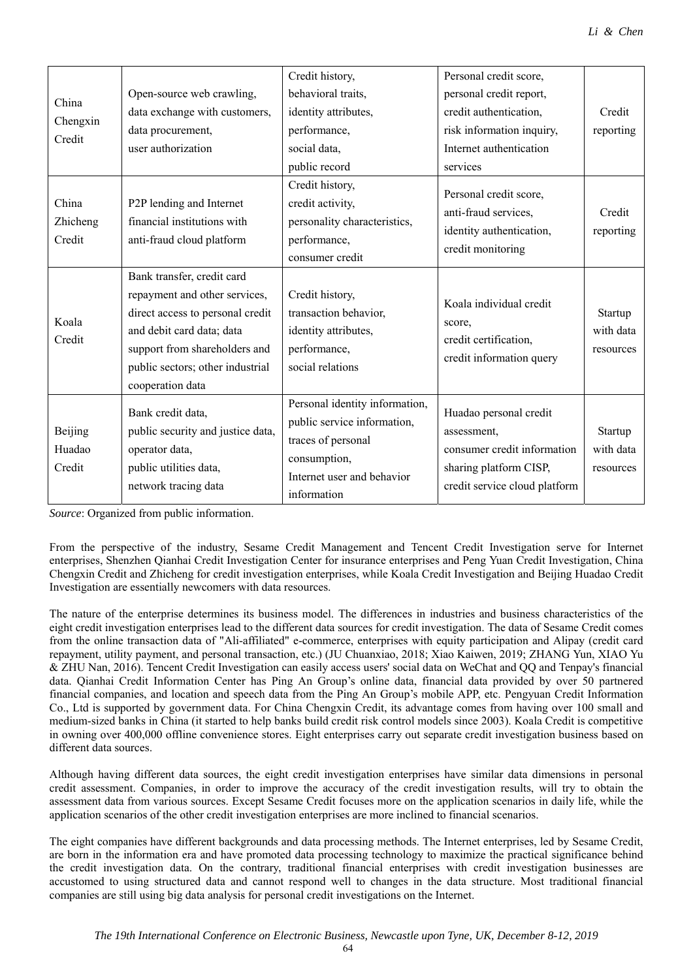| China<br>Chengxin<br>Credit |                                                | Credit history,                                                                  | Personal credit score,        |           |
|-----------------------------|------------------------------------------------|----------------------------------------------------------------------------------|-------------------------------|-----------|
|                             | Open-source web crawling,                      | behavioral traits,                                                               | personal credit report,       |           |
|                             | data exchange with customers,                  | identity attributes,                                                             | credit authentication,        | Credit    |
|                             | data procurement,                              | performance,                                                                     | risk information inquiry,     | reporting |
|                             | user authorization                             | social data,                                                                     | Internet authentication       |           |
|                             |                                                | public record                                                                    | services                      |           |
|                             |                                                | Credit history,                                                                  | Personal credit score,        |           |
| China                       | P2P lending and Internet                       | credit activity,                                                                 | anti-fraud services,          | Credit    |
| Zhicheng                    | financial institutions with                    | personality characteristics,                                                     |                               |           |
| Credit                      | anti-fraud cloud platform                      | performance,                                                                     | identity authentication,      | reporting |
|                             |                                                | consumer credit                                                                  | credit monitoring             |           |
|                             | Bank transfer, credit card                     |                                                                                  |                               |           |
|                             | repayment and other services,                  | Credit history,                                                                  | Koala individual credit       |           |
|                             | direct access to personal credit               | transaction behavior,                                                            |                               | Startup   |
| Koala                       | and debit card data; data                      | identity attributes,                                                             | score,                        | with data |
| Credit                      | support from shareholders and                  | performance,                                                                     | credit certification,         | resources |
|                             | public sectors; other industrial               | social relations                                                                 | credit information query      |           |
|                             | cooperation data                               |                                                                                  |                               |           |
| Beijing<br>Huadao<br>Credit | Bank credit data,                              | Personal identity information,                                                   | Huadao personal credit        |           |
|                             |                                                | public service information,                                                      |                               | Startup   |
|                             | public security and justice data,              | assessment,<br>traces of personal<br>consumer credit information<br>consumption, | with data                     |           |
|                             | operator data,                                 |                                                                                  |                               |           |
|                             | public utilities data,<br>network tracing data | Internet user and behavior                                                       | sharing platform CISP,        | resources |
|                             |                                                | information                                                                      | credit service cloud platform |           |

*Source*: Organized from public information.

From the perspective of the industry, Sesame Credit Management and Tencent Credit Investigation serve for Internet enterprises, Shenzhen Qianhai Credit Investigation Center for insurance enterprises and Peng Yuan Credit Investigation, China Chengxin Credit and Zhicheng for credit investigation enterprises, while Koala Credit Investigation and Beijing Huadao Credit Investigation are essentially newcomers with data resources.

The nature of the enterprise determines its business model. The differences in industries and business characteristics of the eight credit investigation enterprises lead to the different data sources for credit investigation. The data of Sesame Credit comes from the online transaction data of "Ali-affiliated" e-commerce, enterprises with equity participation and Alipay (credit card repayment, utility payment, and personal transaction, etc.) (JU Chuanxiao, 2018; Xiao Kaiwen, 2019; ZHANG Yun, XIAO Yu & ZHU Nan, 2016). Tencent Credit Investigation can easily access users' social data on WeChat and QQ and Tenpay's financial data. Qianhai Credit Information Center has Ping An Group's online data, financial data provided by over 50 partnered financial companies, and location and speech data from the Ping An Group's mobile APP, etc. Pengyuan Credit Information Co., Ltd is supported by government data. For China Chengxin Credit, its advantage comes from having over 100 small and medium-sized banks in China (it started to help banks build credit risk control models since 2003). Koala Credit is competitive in owning over 400,000 offline convenience stores. Eight enterprises carry out separate credit investigation business based on different data sources.

Although having different data sources, the eight credit investigation enterprises have similar data dimensions in personal credit assessment. Companies, in order to improve the accuracy of the credit investigation results, will try to obtain the assessment data from various sources. Except Sesame Credit focuses more on the application scenarios in daily life, while the application scenarios of the other credit investigation enterprises are more inclined to financial scenarios.

The eight companies have different backgrounds and data processing methods. The Internet enterprises, led by Sesame Credit, are born in the information era and have promoted data processing technology to maximize the practical significance behind the credit investigation data. On the contrary, traditional financial enterprises with credit investigation businesses are accustomed to using structured data and cannot respond well to changes in the data structure. Most traditional financial companies are still using big data analysis for personal credit investigations on the Internet.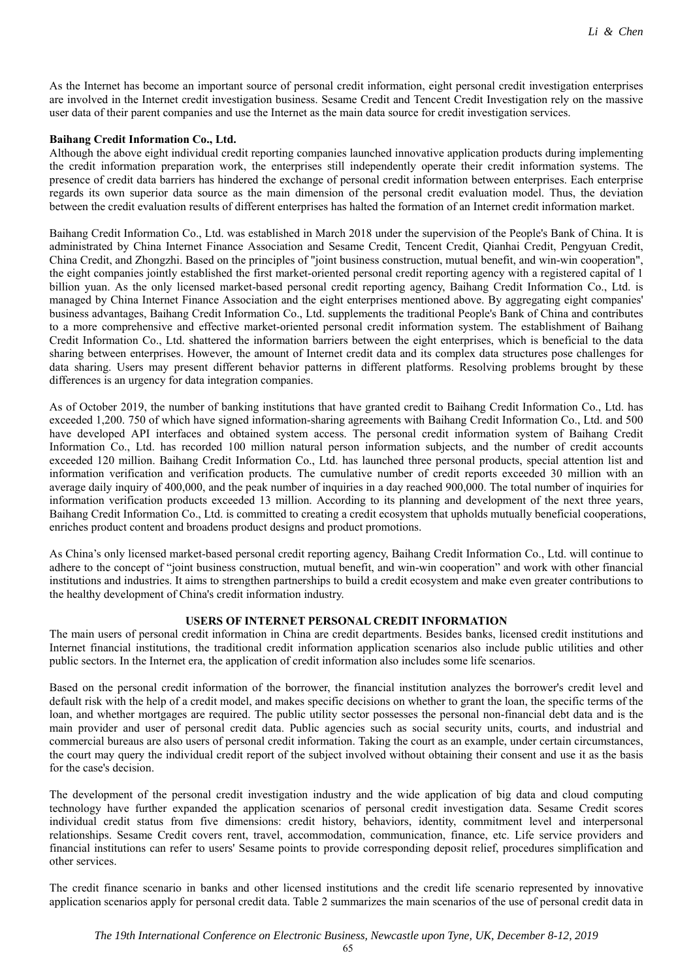As the Internet has become an important source of personal credit information, eight personal credit investigation enterprises are involved in the Internet credit investigation business. Sesame Credit and Tencent Credit Investigation rely on the massive user data of their parent companies and use the Internet as the main data source for credit investigation services.

### **Baihang Credit Information Co., Ltd.**

Although the above eight individual credit reporting companies launched innovative application products during implementing the credit information preparation work, the enterprises still independently operate their credit information systems. The presence of credit data barriers has hindered the exchange of personal credit information between enterprises. Each enterprise regards its own superior data source as the main dimension of the personal credit evaluation model. Thus, the deviation between the credit evaluation results of different enterprises has halted the formation of an Internet credit information market.

Baihang Credit Information Co., Ltd. was established in March 2018 under the supervision of the People's Bank of China. It is administrated by China Internet Finance Association and Sesame Credit, Tencent Credit, Qianhai Credit, Pengyuan Credit, China Credit, and Zhongzhi. Based on the principles of "joint business construction, mutual benefit, and win-win cooperation", the eight companies jointly established the first market-oriented personal credit reporting agency with a registered capital of 1 billion yuan. As the only licensed market-based personal credit reporting agency, Baihang Credit Information Co., Ltd. is managed by China Internet Finance Association and the eight enterprises mentioned above. By aggregating eight companies' business advantages, Baihang Credit Information Co., Ltd. supplements the traditional People's Bank of China and contributes to a more comprehensive and effective market-oriented personal credit information system. The establishment of Baihang Credit Information Co., Ltd. shattered the information barriers between the eight enterprises, which is beneficial to the data sharing between enterprises. However, the amount of Internet credit data and its complex data structures pose challenges for data sharing. Users may present different behavior patterns in different platforms. Resolving problems brought by these differences is an urgency for data integration companies.

As of October 2019, the number of banking institutions that have granted credit to Baihang Credit Information Co., Ltd. has exceeded 1,200. 750 of which have signed information-sharing agreements with Baihang Credit Information Co., Ltd. and 500 have developed API interfaces and obtained system access. The personal credit information system of Baihang Credit Information Co., Ltd. has recorded 100 million natural person information subjects, and the number of credit accounts exceeded 120 million. Baihang Credit Information Co., Ltd. has launched three personal products, special attention list and information verification and verification products. The cumulative number of credit reports exceeded 30 million with an average daily inquiry of 400,000, and the peak number of inquiries in a day reached 900,000. The total number of inquiries for information verification products exceeded 13 million. According to its planning and development of the next three years, Baihang Credit Information Co., Ltd. is committed to creating a credit ecosystem that upholds mutually beneficial cooperations, enriches product content and broadens product designs and product promotions.

As China's only licensed market-based personal credit reporting agency, Baihang Credit Information Co., Ltd. will continue to adhere to the concept of "joint business construction, mutual benefit, and win-win cooperation" and work with other financial institutions and industries. It aims to strengthen partnerships to build a credit ecosystem and make even greater contributions to the healthy development of China's credit information industry.

## **USERS OF INTERNET PERSONAL CREDIT INFORMATION**

The main users of personal credit information in China are credit departments. Besides banks, licensed credit institutions and Internet financial institutions, the traditional credit information application scenarios also include public utilities and other public sectors. In the Internet era, the application of credit information also includes some life scenarios.

Based on the personal credit information of the borrower, the financial institution analyzes the borrower's credit level and default risk with the help of a credit model, and makes specific decisions on whether to grant the loan, the specific terms of the loan, and whether mortgages are required. The public utility sector possesses the personal non-financial debt data and is the main provider and user of personal credit data. Public agencies such as social security units, courts, and industrial and commercial bureaus are also users of personal credit information. Taking the court as an example, under certain circumstances, the court may query the individual credit report of the subject involved without obtaining their consent and use it as the basis for the case's decision.

The development of the personal credit investigation industry and the wide application of big data and cloud computing technology have further expanded the application scenarios of personal credit investigation data. Sesame Credit scores individual credit status from five dimensions: credit history, behaviors, identity, commitment level and interpersonal relationships. Sesame Credit covers rent, travel, accommodation, communication, finance, etc. Life service providers and financial institutions can refer to users' Sesame points to provide corresponding deposit relief, procedures simplification and other services.

The credit finance scenario in banks and other licensed institutions and the credit life scenario represented by innovative application scenarios apply for personal credit data. Table 2 summarizes the main scenarios of the use of personal credit data in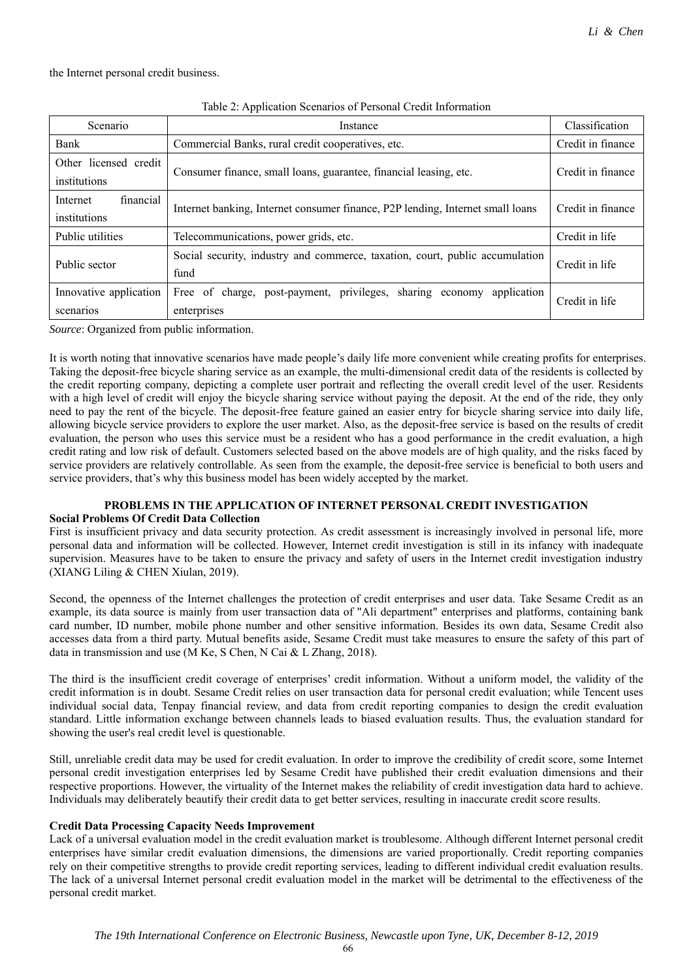the Internet personal credit business.

| Table 2: Application Scenarios of Personal Credit Information |  |  |  |
|---------------------------------------------------------------|--|--|--|
|---------------------------------------------------------------|--|--|--|

| Scenario                              | Instance                                                                                | Classification    |
|---------------------------------------|-----------------------------------------------------------------------------------------|-------------------|
| Bank                                  | Commercial Banks, rural credit cooperatives, etc.                                       | Credit in finance |
| Other licensed credit<br>institutions | Consumer finance, small loans, guarantee, financial leasing, etc.                       | Credit in finance |
| financial<br>Internet<br>institutions | Internet banking, Internet consumer finance, P2P lending, Internet small loans          | Credit in finance |
| Public utilities                      | Telecommunications, power grids, etc.                                                   | Credit in life    |
| Public sector                         | Social security, industry and commerce, taxation, court, public accumulation<br>fund    | Credit in life    |
| Innovative application<br>scenarios   | Free of charge, post-payment, privileges, sharing economy<br>application<br>enterprises | Credit in life    |

*Source*: Organized from public information.

It is worth noting that innovative scenarios have made people's daily life more convenient while creating profits for enterprises. Taking the deposit-free bicycle sharing service as an example, the multi-dimensional credit data of the residents is collected by the credit reporting company, depicting a complete user portrait and reflecting the overall credit level of the user. Residents with a high level of credit will enjoy the bicycle sharing service without paying the deposit. At the end of the ride, they only need to pay the rent of the bicycle. The deposit-free feature gained an easier entry for bicycle sharing service into daily life, allowing bicycle service providers to explore the user market. Also, as the deposit-free service is based on the results of credit evaluation, the person who uses this service must be a resident who has a good performance in the credit evaluation, a high credit rating and low risk of default. Customers selected based on the above models are of high quality, and the risks faced by service providers are relatively controllable. As seen from the example, the deposit-free service is beneficial to both users and service providers, that's why this business model has been widely accepted by the market.

### **PROBLEMS IN THE APPLICATION OF INTERNET PERSONAL CREDIT INVESTIGATION Social Problems Of Credit Data Collection**

First is insufficient privacy and data security protection. As credit assessment is increasingly involved in personal life, more personal data and information will be collected. However, Internet credit investigation is still in its infancy with inadequate supervision. Measures have to be taken to ensure the privacy and safety of users in the Internet credit investigation industry (XIANG Liling & CHEN Xiulan, 2019).

Second, the openness of the Internet challenges the protection of credit enterprises and user data. Take Sesame Credit as an example, its data source is mainly from user transaction data of "Ali department" enterprises and platforms, containing bank card number, ID number, mobile phone number and other sensitive information. Besides its own data, Sesame Credit also accesses data from a third party. Mutual benefits aside, Sesame Credit must take measures to ensure the safety of this part of data in transmission and use (M Ke, S Chen, N Cai & L Zhang, 2018).

The third is the insufficient credit coverage of enterprises' credit information. Without a uniform model, the validity of the credit information is in doubt. Sesame Credit relies on user transaction data for personal credit evaluation; while Tencent uses individual social data, Tenpay financial review, and data from credit reporting companies to design the credit evaluation standard. Little information exchange between channels leads to biased evaluation results. Thus, the evaluation standard for showing the user's real credit level is questionable.

Still, unreliable credit data may be used for credit evaluation. In order to improve the credibility of credit score, some Internet personal credit investigation enterprises led by Sesame Credit have published their credit evaluation dimensions and their respective proportions. However, the virtuality of the Internet makes the reliability of credit investigation data hard to achieve. Individuals may deliberately beautify their credit data to get better services, resulting in inaccurate credit score results.

### **Credit Data Processing Capacity Needs Improvement**

Lack of a universal evaluation model in the credit evaluation market is troublesome. Although different Internet personal credit enterprises have similar credit evaluation dimensions, the dimensions are varied proportionally. Credit reporting companies rely on their competitive strengths to provide credit reporting services, leading to different individual credit evaluation results. The lack of a universal Internet personal credit evaluation model in the market will be detrimental to the effectiveness of the personal credit market.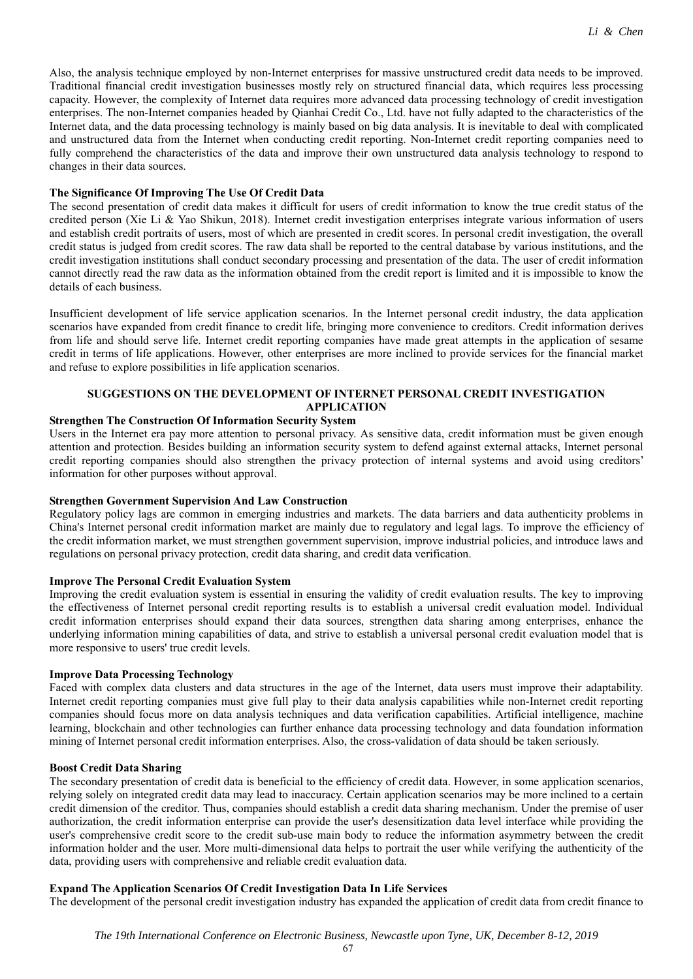Also, the analysis technique employed by non-Internet enterprises for massive unstructured credit data needs to be improved. Traditional financial credit investigation businesses mostly rely on structured financial data, which requires less processing capacity. However, the complexity of Internet data requires more advanced data processing technology of credit investigation enterprises. The non-Internet companies headed by Qianhai Credit Co., Ltd. have not fully adapted to the characteristics of the Internet data, and the data processing technology is mainly based on big data analysis. It is inevitable to deal with complicated and unstructured data from the Internet when conducting credit reporting. Non-Internet credit reporting companies need to fully comprehend the characteristics of the data and improve their own unstructured data analysis technology to respond to changes in their data sources.

#### **The Significance Of Improving The Use Of Credit Data**

The second presentation of credit data makes it difficult for users of credit information to know the true credit status of the credited person (Xie Li & Yao Shikun, 2018). Internet credit investigation enterprises integrate various information of users and establish credit portraits of users, most of which are presented in credit scores. In personal credit investigation, the overall credit status is judged from credit scores. The raw data shall be reported to the central database by various institutions, and the credit investigation institutions shall conduct secondary processing and presentation of the data. The user of credit information cannot directly read the raw data as the information obtained from the credit report is limited and it is impossible to know the details of each business.

Insufficient development of life service application scenarios. In the Internet personal credit industry, the data application scenarios have expanded from credit finance to credit life, bringing more convenience to creditors. Credit information derives from life and should serve life. Internet credit reporting companies have made great attempts in the application of sesame credit in terms of life applications. However, other enterprises are more inclined to provide services for the financial market and refuse to explore possibilities in life application scenarios.

## **SUGGESTIONS ON THE DEVELOPMENT OF INTERNET PERSONAL CREDIT INVESTIGATION APPLICATION**

#### **Strengthen The Construction Of Information Security System**

Users in the Internet era pay more attention to personal privacy. As sensitive data, credit information must be given enough attention and protection. Besides building an information security system to defend against external attacks, Internet personal credit reporting companies should also strengthen the privacy protection of internal systems and avoid using creditors' information for other purposes without approval.

#### **Strengthen Government Supervision And Law Construction**

Regulatory policy lags are common in emerging industries and markets. The data barriers and data authenticity problems in China's Internet personal credit information market are mainly due to regulatory and legal lags. To improve the efficiency of the credit information market, we must strengthen government supervision, improve industrial policies, and introduce laws and regulations on personal privacy protection, credit data sharing, and credit data verification.

## **Improve The Personal Credit Evaluation System**

Improving the credit evaluation system is essential in ensuring the validity of credit evaluation results. The key to improving the effectiveness of Internet personal credit reporting results is to establish a universal credit evaluation model. Individual credit information enterprises should expand their data sources, strengthen data sharing among enterprises, enhance the underlying information mining capabilities of data, and strive to establish a universal personal credit evaluation model that is more responsive to users' true credit levels.

### **Improve Data Processing Technology**

Faced with complex data clusters and data structures in the age of the Internet, data users must improve their adaptability. Internet credit reporting companies must give full play to their data analysis capabilities while non-Internet credit reporting companies should focus more on data analysis techniques and data verification capabilities. Artificial intelligence, machine learning, blockchain and other technologies can further enhance data processing technology and data foundation information mining of Internet personal credit information enterprises. Also, the cross-validation of data should be taken seriously.

#### **Boost Credit Data Sharing**

The secondary presentation of credit data is beneficial to the efficiency of credit data. However, in some application scenarios, relying solely on integrated credit data may lead to inaccuracy. Certain application scenarios may be more inclined to a certain credit dimension of the creditor. Thus, companies should establish a credit data sharing mechanism. Under the premise of user authorization, the credit information enterprise can provide the user's desensitization data level interface while providing the user's comprehensive credit score to the credit sub-use main body to reduce the information asymmetry between the credit information holder and the user. More multi-dimensional data helps to portrait the user while verifying the authenticity of the data, providing users with comprehensive and reliable credit evaluation data.

## **Expand The Application Scenarios Of Credit Investigation Data In Life Services**

The development of the personal credit investigation industry has expanded the application of credit data from credit finance to